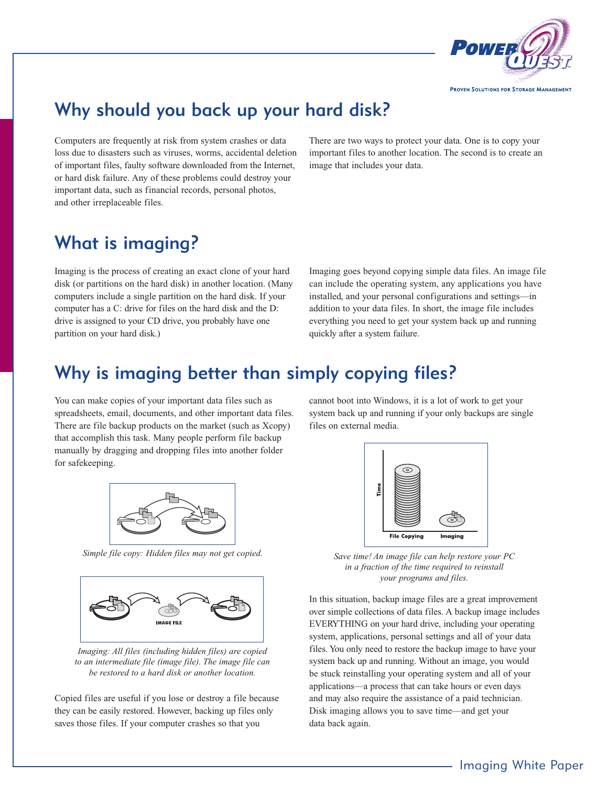

# Why should you back up your hard disk?

Computers are frequently at risk from system crashes or data loss due to disasters such as viruses, worms, accidental deletion of important files, faulty software downloaded from the Internet, or hard disk failure. Any of these problems could destroy your important data, such as financial records, personal photos, and other irreplaceable files.

There are two ways to protect your data. One is to copy your important files to another location. The second is to create an image that includes your data.

## What is imaging?

Imaging is the process of creating an exact clone of your hard disk (or partitions on the hard disk) in another location. (Many computers include a single partition on the hard disk. If your computer has a C: drive for files on the hard disk and the D: drive is assigned to your CD drive, you probably have one partition on your hard disk.)

Imaging goes beyond copying simple data files. An image file can include the operating system, any applications you have installed, and your personal configurations and settings—in addition to your data files. In short, the image file includes everything you need to get your system back up and running quickly after a system failure.

## Why is imaging better than simply copying files?

You can make copies of your important data files such as spreadsheets, email, documents, and other important data files. There are file backup products on the market (such as Xcopy) that accomplish this task. Many people perform file backup manually by dragging and dropping files into another folder for safekeeping.



*Simple file copy: Hidden files may not get copied.*



*Imaging: All files (including hidden files) are copied to an intermediate file (image file). The image file can be restored to a hard disk or another location.*

Copied files are useful if you lose or destroy a file because they can be easily restored. However, backing up files only saves those files. If your computer crashes so that you

cannot boot into Windows, it is a lot of work to get your system back up and running if your only backups are single files on external media.



*Save time! An image file can help restore your PC in a fraction of the time required to reinstall your programs and files.*

In this situation, backup image files are a great improvement over simple collections of data files. A backup image includes EVERYTHING on your hard drive, including your operating system, applications, personal settings and all of your data files. You only need to restore the backup image to have your system back up and running. Without an image, you would be stuck reinstalling your operating system and all of your applications—a process that can take hours or even days and may also require the assistance of a paid technician. Disk imaging allows you to save time—and get your data back again.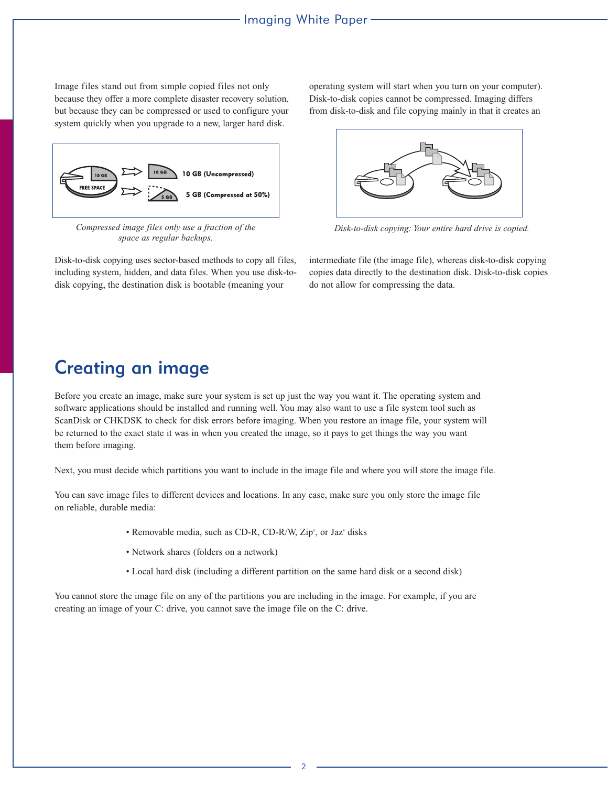Image files stand out from simple copied files not only because they offer a more complete disaster recovery solution, but because they can be compressed or used to configure your system quickly when you upgrade to a new, larger hard disk.



*Compressed image files only use a fraction of the space as regular backups.*

Disk-to-disk copying uses sector-based methods to copy all files, including system, hidden, and data files. When you use disk-todisk copying, the destination disk is bootable (meaning your

operating system will start when you turn on your computer). Disk-to-disk copies cannot be compressed. Imaging differs from disk-to-disk and file copying mainly in that it creates an



*Disk-to-disk copying: Your entire hard drive is copied.*

intermediate file (the image file), whereas disk-to-disk copying copies data directly to the destination disk. Disk-to-disk copies do not allow for compressing the data.

### Creating an image

Before you create an image, make sure your system is set up just the way you want it. The operating system and software applications should be installed and running well. You may also want to use a file system tool such as ScanDisk or CHKDSK to check for disk errors before imaging. When you restore an image file, your system will be returned to the exact state it was in when you created the image, so it pays to get things the way you want them before imaging.

Next, you must decide which partitions you want to include in the image file and where you will store the image file.

You can save image files to different devices and locations. In any case, make sure you only store the image file on reliable, durable media:

- Removable media, such as CD-R, CD-R/W, Zip<sup>\*</sup>, or Jaz<sup>\*</sup> disks
- Network shares (folders on a network)
- Local hard disk (including a different partition on the same hard disk or a second disk)

You cannot store the image file on any of the partitions you are including in the image. For example, if you are creating an image of your C: drive, you cannot save the image file on the C: drive.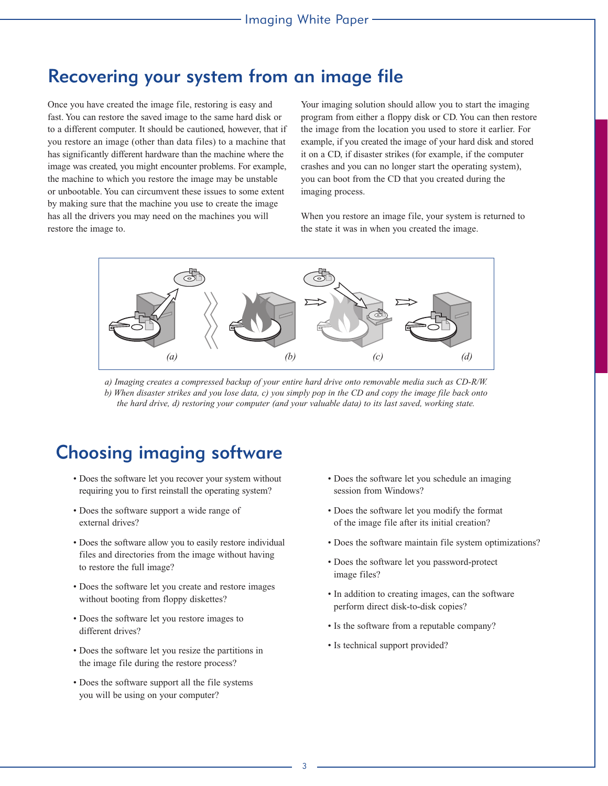#### Recovering your system from an image file

Once you have created the image file, restoring is easy and fast. You can restore the saved image to the same hard disk or to a different computer. It should be cautioned, however, that if you restore an image (other than data files) to a machine that has significantly different hardware than the machine where the image was created, you might encounter problems. For example, the machine to which you restore the image may be unstable or unbootable. You can circumvent these issues to some extent by making sure that the machine you use to create the image has all the drivers you may need on the machines you will restore the image to.

Your imaging solution should allow you to start the imaging program from either a floppy disk or CD. You can then restore the image from the location you used to store it earlier. For example, if you created the image of your hard disk and stored it on a CD, if disaster strikes (for example, if the computer crashes and you can no longer start the operating system), you can boot from the CD that you created during the imaging process.

When you restore an image file, your system is returned to the state it was in when you created the image.



*a) Imaging creates a compressed backup of your entire hard drive onto removable media such as CD-R/W. b) When disaster strikes and you lose data, c) you simply pop in the CD and copy the image file back onto the hard drive, d) restoring your computer (and your valuable data) to its last saved, working state.*

### Choosing imaging software

- Does the software let you recover your system without requiring you to first reinstall the operating system?
- Does the software support a wide range of external drives?
- Does the software allow you to easily restore individual files and directories from the image without having to restore the full image?
- Does the software let you create and restore images without booting from floppy diskettes?
- Does the software let you restore images to different drives?
- Does the software let you resize the partitions in the image file during the restore process?
- Does the software support all the file systems you will be using on your computer?
- Does the software let you schedule an imaging session from Windows?
- Does the software let you modify the format of the image file after its initial creation?
- Does the software maintain file system optimizations?
- Does the software let you password-protect image files?
- In addition to creating images, can the software perform direct disk-to-disk copies?
- Is the software from a reputable company?
- Is technical support provided?